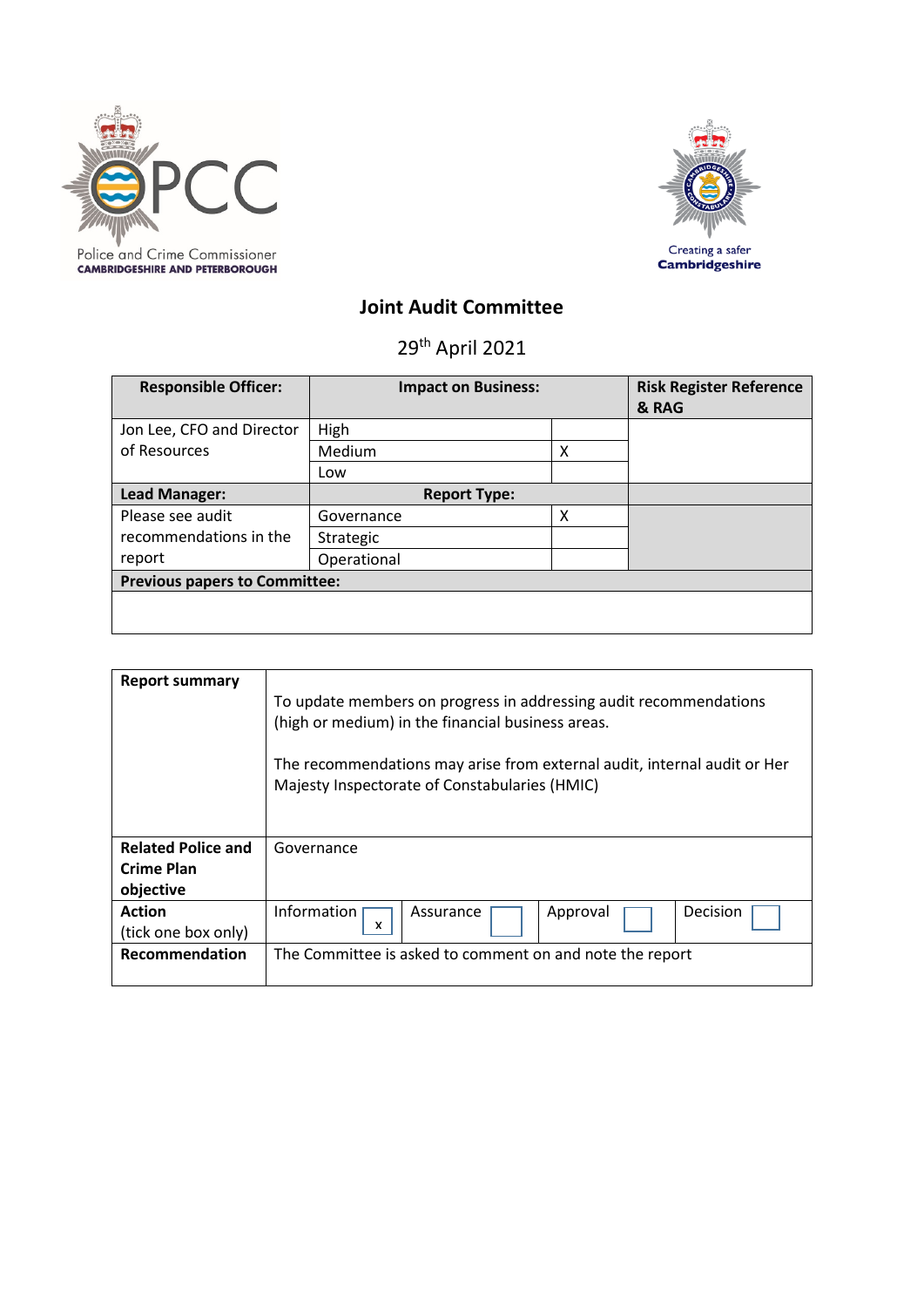



# **Joint Audit Committee**

29th April 2021

| <b>Responsible Officer:</b>          | <b>Impact on Business:</b> |   | <b>Risk Register Reference</b><br>& RAG |
|--------------------------------------|----------------------------|---|-----------------------------------------|
| Jon Lee, CFO and Director            | High                       |   |                                         |
| of Resources                         | Medium                     | х |                                         |
|                                      | Low                        |   |                                         |
| Lead Manager:                        | <b>Report Type:</b>        |   |                                         |
| Please see audit                     | Governance                 | x |                                         |
| recommendations in the               | Strategic                  |   |                                         |
| report                               | Operational                |   |                                         |
| <b>Previous papers to Committee:</b> |                            |   |                                         |
|                                      |                            |   |                                         |

| <b>Report summary</b>                                | To update members on progress in addressing audit recommendations<br>(high or medium) in the financial business areas.<br>The recommendations may arise from external audit, internal audit or Her<br>Majesty Inspectorate of Constabularies (HMIC) |  |  |
|------------------------------------------------------|-----------------------------------------------------------------------------------------------------------------------------------------------------------------------------------------------------------------------------------------------------|--|--|
| <b>Related Police and</b><br>Crime Plan<br>objective | Governance                                                                                                                                                                                                                                          |  |  |
| <b>Action</b><br>(tick one box only)                 | Information<br>Decision<br>Approval<br>Assurance<br>x                                                                                                                                                                                               |  |  |
| <b>Recommendation</b>                                | The Committee is asked to comment on and note the report                                                                                                                                                                                            |  |  |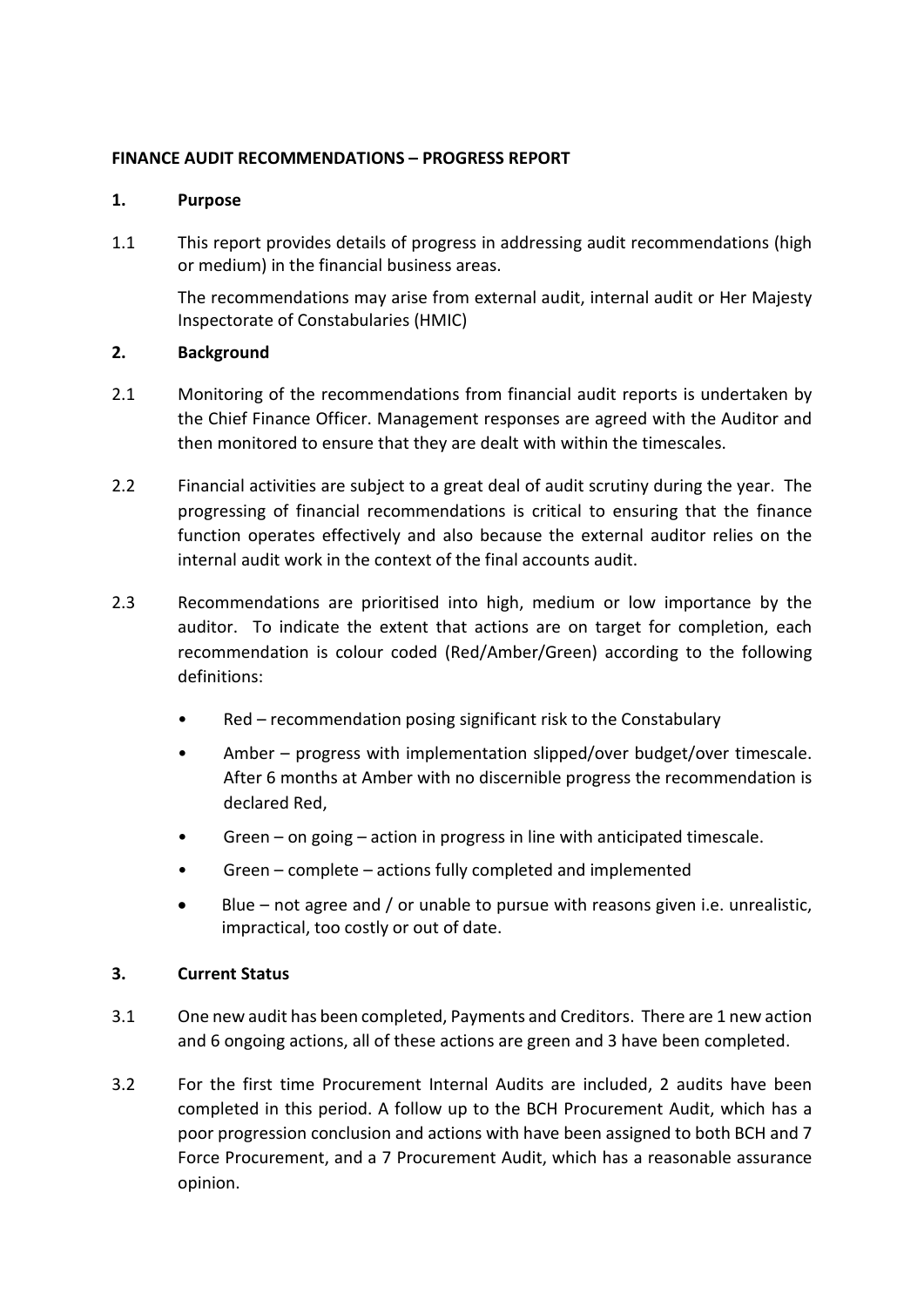### **FINANCE AUDIT RECOMMENDATIONS – PROGRESS REPORT**

#### **1. Purpose**

1.1 This report provides details of progress in addressing audit recommendations (high or medium) in the financial business areas.

The recommendations may arise from external audit, internal audit or Her Majesty Inspectorate of Constabularies (HMIC)

#### **2. Background**

- 2.1 Monitoring of the recommendations from financial audit reports is undertaken by the Chief Finance Officer. Management responses are agreed with the Auditor and then monitored to ensure that they are dealt with within the timescales.
- 2.2 Financial activities are subject to a great deal of audit scrutiny during the year. The progressing of financial recommendations is critical to ensuring that the finance function operates effectively and also because the external auditor relies on the internal audit work in the context of the final accounts audit.
- 2.3 Recommendations are prioritised into high, medium or low importance by the auditor. To indicate the extent that actions are on target for completion, each recommendation is colour coded (Red/Amber/Green) according to the following definitions:
	- Red recommendation posing significant risk to the Constabulary
	- Amber progress with implementation slipped/over budget/over timescale. After 6 months at Amber with no discernible progress the recommendation is declared Red,
	- Green on going action in progress in line with anticipated timescale.
	- Green complete actions fully completed and implemented
	- Blue not agree and / or unable to pursue with reasons given i.e. unrealistic, impractical, too costly or out of date.

## **3. Current Status**

- 3.1 One new audit has been completed, Payments and Creditors. There are 1 new action and 6 ongoing actions, all of these actions are green and 3 have been completed.
- 3.2 For the first time Procurement Internal Audits are included, 2 audits have been completed in this period. A follow up to the BCH Procurement Audit, which has a poor progression conclusion and actions with have been assigned to both BCH and 7 Force Procurement, and a 7 Procurement Audit, which has a reasonable assurance opinion.